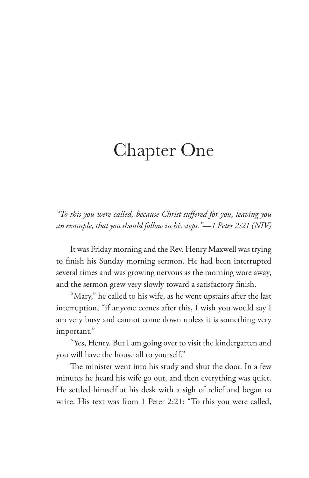## Chapter One

*"To this you were called, because Christ suffered for you, leaving you an example, that you should follow in his steps."—1 Peter 2:21 (NIV)*

It was Friday morning and the Rev. Henry Maxwell was trying to finish his Sunday morning sermon. He had been interrupted several times and was growing nervous as the morning wore away, and the sermon grew very slowly toward a satisfactory finish.

"Mary," he called to his wife, as he went upstairs after the last interruption, "if anyone comes after this, I wish you would say I am very busy and cannot come down unless it is something very important."

"Yes, Henry. But I am going over to visit the kindergarten and you will have the house all to yourself."

The minister went into his study and shut the door. In a few minutes he heard his wife go out, and then everything was quiet. He settled himself at his desk with a sigh of relief and began to write. His text was from 1 Peter 2:21: "To this you were called,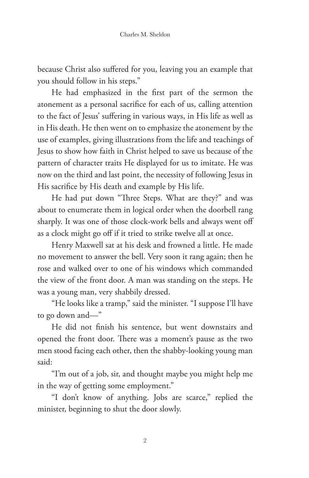because Christ also suffered for you, leaving you an example that you should follow in his steps."

He had emphasized in the first part of the sermon the atonement as a personal sacrifice for each of us, calling attention to the fact of Jesus' suffering in various ways, in His life as well as in His death. He then went on to emphasize the atonement by the use of examples, giving illustrations from the life and teachings of Jesus to show how faith in Christ helped to save us because of the pattern of character traits He displayed for us to imitate. He was now on the third and last point, the necessity of following Jesus in His sacrifice by His death and example by His life.

He had put down "Three Steps. What are they?" and was about to enumerate them in logical order when the doorbell rang sharply. It was one of those clock-work bells and always went off as a clock might go off if it tried to strike twelve all at once.

Henry Maxwell sat at his desk and frowned a little. He made no movement to answer the bell. Very soon it rang again; then he rose and walked over to one of his windows which commanded the view of the front door. A man was standing on the steps. He was a young man, very shabbily dressed.

"He looks like a tramp," said the minister. "I suppose I'll have to go down and—"

He did not finish his sentence, but went downstairs and opened the front door. There was a moment's pause as the two men stood facing each other, then the shabby-looking young man said:

"I'm out of a job, sir, and thought maybe you might help me in the way of getting some employment."

"I don't know of anything. Jobs are scarce," replied the minister, beginning to shut the door slowly.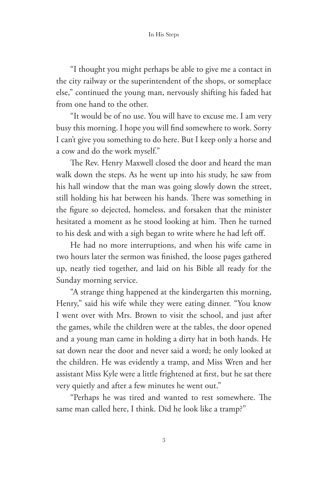## In His Steps

"I thought you might perhaps be able to give me a contact in the city railway or the superintendent of the shops, or someplace else," continued the young man, nervously shifting his faded hat from one hand to the other.

"It would be of no use. You will have to excuse me. I am very busy this morning. I hope you will find somewhere to work. Sorry I can't give you something to do here. But I keep only a horse and a cow and do the work myself."

The Rev. Henry Maxwell closed the door and heard the man walk down the steps. As he went up into his study, he saw from his hall window that the man was going slowly down the street, still holding his hat between his hands. There was something in the figure so dejected, homeless, and forsaken that the minister hesitated a moment as he stood looking at him. Then he turned to his desk and with a sigh began to write where he had left off.

He had no more interruptions, and when his wife came in two hours later the sermon was finished, the loose pages gathered up, neatly tied together, and laid on his Bible all ready for the Sunday morning service.

"A strange thing happened at the kindergarten this morning, Henry," said his wife while they were eating dinner. "You know I went over with Mrs. Brown to visit the school, and just after the games, while the children were at the tables, the door opened and a young man came in holding a dirty hat in both hands. He sat down near the door and never said a word; he only looked at the children. He was evidently a tramp, and Miss Wren and her assistant Miss Kyle were a little frightened at first, but he sat there very quietly and after a few minutes he went out."

"Perhaps he was tired and wanted to rest somewhere. The same man called here, I think. Did he look like a tramp?"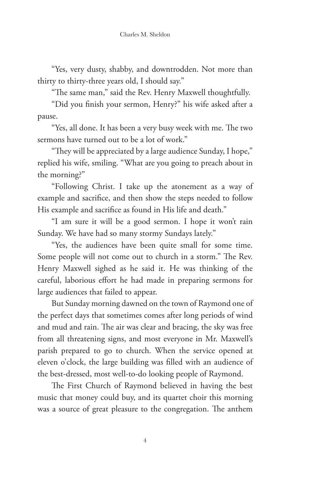"Yes, very dusty, shabby, and downtrodden. Not more than thirty to thirty-three years old, I should say."

"The same man," said the Rev. Henry Maxwell thoughtfully.

"Did you finish your sermon, Henry?" his wife asked after a pause.

"Yes, all done. It has been a very busy week with me. The two sermons have turned out to be a lot of work."

"They will be appreciated by a large audience Sunday, I hope," replied his wife, smiling. "What are you going to preach about in the morning?"

"Following Christ. I take up the atonement as a way of example and sacrifice, and then show the steps needed to follow His example and sacrifice as found in His life and death."

"I am sure it will be a good sermon. I hope it won't rain Sunday. We have had so many stormy Sundays lately."

"Yes, the audiences have been quite small for some time. Some people will not come out to church in a storm." The Rev. Henry Maxwell sighed as he said it. He was thinking of the careful, laborious effort he had made in preparing sermons for large audiences that failed to appear.

But Sunday morning dawned on the town of Raymond one of the perfect days that sometimes comes after long periods of wind and mud and rain. The air was clear and bracing, the sky was free from all threatening signs, and most everyone in Mr. Maxwell's parish prepared to go to church. When the service opened at eleven o'clock, the large building was filled with an audience of the best-dressed, most well-to-do looking people of Raymond.

The First Church of Raymond believed in having the best music that money could buy, and its quartet choir this morning was a source of great pleasure to the congregation. The anthem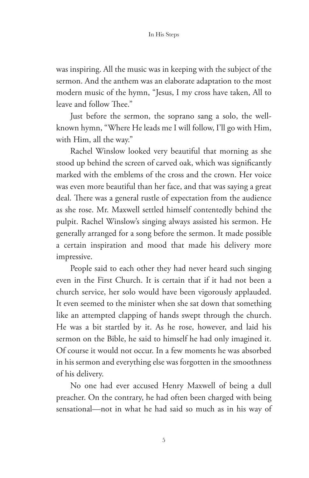## In His Steps

was inspiring. All the music was in keeping with the subject of the sermon. And the anthem was an elaborate adaptation to the most modern music of the hymn, "Jesus, I my cross have taken, All to leave and follow Thee."

Just before the sermon, the soprano sang a solo, the wellknown hymn, "Where He leads me I will follow, I'll go with Him, with Him, all the way."

Rachel Winslow looked very beautiful that morning as she stood up behind the screen of carved oak, which was significantly marked with the emblems of the cross and the crown. Her voice was even more beautiful than her face, and that was saying a great deal. There was a general rustle of expectation from the audience as she rose. Mr. Maxwell settled himself contentedly behind the pulpit. Rachel Winslow's singing always assisted his sermon. He generally arranged for a song before the sermon. It made possible a certain inspiration and mood that made his delivery more impressive.

People said to each other they had never heard such singing even in the First Church. It is certain that if it had not been a church service, her solo would have been vigorously applauded. It even seemed to the minister when she sat down that something like an attempted clapping of hands swept through the church. He was a bit startled by it. As he rose, however, and laid his sermon on the Bible, he said to himself he had only imagined it. Of course it would not occur. In a few moments he was absorbed in his sermon and everything else was forgotten in the smoothness of his delivery.

No one had ever accused Henry Maxwell of being a dull preacher. On the contrary, he had often been charged with being sensational—not in what he had said so much as in his way of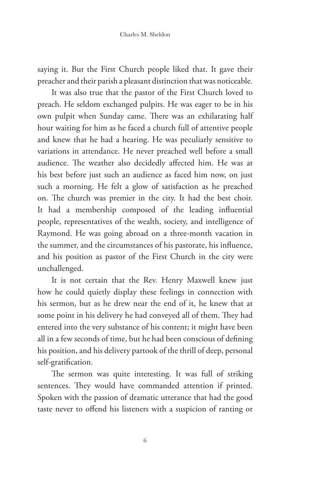saying it. But the First Church people liked that. It gave their preacher and their parish a pleasant distinction that was noticeable.

It was also true that the pastor of the First Church loved to preach. He seldom exchanged pulpits. He was eager to be in his own pulpit when Sunday came. There was an exhilarating half hour waiting for him as he faced a church full of attentive people and knew that he had a hearing. He was peculiarly sensitive to variations in attendance. He never preached well before a small audience. The weather also decidedly affected him. He was at his best before just such an audience as faced him now, on just such a morning. He felt a glow of satisfaction as he preached on. The church was premier in the city. It had the best choir. It had a membership composed of the leading influential people, representatives of the wealth, society, and intelligence of Raymond. He was going abroad on a three-month vacation in the summer, and the circumstances of his pastorate, his influence, and his position as pastor of the First Church in the city were unchallenged.

It is not certain that the Rev. Henry Maxwell knew just how he could quietly display these feelings in connection with his sermon, but as he drew near the end of it, he knew that at some point in his delivery he had conveyed all of them. They had entered into the very substance of his content; it might have been all in a few seconds of time, but he had been conscious of defining his position, and his delivery partook of the thrill of deep, personal self-gratification.

The sermon was quite interesting. It was full of striking sentences. They would have commanded attention if printed. Spoken with the passion of dramatic utterance that had the good taste never to offend his listeners with a suspicion of ranting or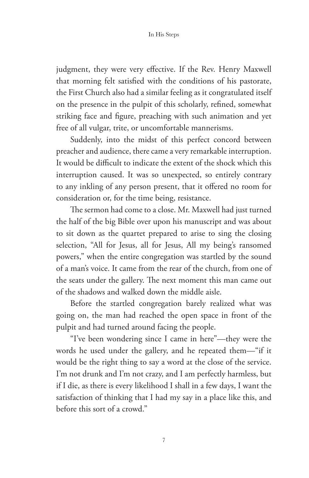judgment, they were very effective. If the Rev. Henry Maxwell that morning felt satisfied with the conditions of his pastorate, the First Church also had a similar feeling as it congratulated itself on the presence in the pulpit of this scholarly, refined, somewhat striking face and figure, preaching with such animation and yet free of all vulgar, trite, or uncomfortable mannerisms.

Suddenly, into the midst of this perfect concord between preacher and audience, there came a very remarkable interruption. It would be difficult to indicate the extent of the shock which this interruption caused. It was so unexpected, so entirely contrary to any inkling of any person present, that it offered no room for consideration or, for the time being, resistance.

The sermon had come to a close. Mr. Maxwell had just turned the half of the big Bible over upon his manuscript and was about to sit down as the quartet prepared to arise to sing the closing selection, "All for Jesus, all for Jesus, All my being's ransomed powers," when the entire congregation was startled by the sound of a man's voice. It came from the rear of the church, from one of the seats under the gallery. The next moment this man came out of the shadows and walked down the middle aisle.

Before the startled congregation barely realized what was going on, the man had reached the open space in front of the pulpit and had turned around facing the people.

"I've been wondering since I came in here"—they were the words he used under the gallery, and he repeated them—"if it would be the right thing to say a word at the close of the service. I'm not drunk and I'm not crazy, and I am perfectly harmless, but if I die, as there is every likelihood I shall in a few days, I want the satisfaction of thinking that I had my say in a place like this, and before this sort of a crowd."

7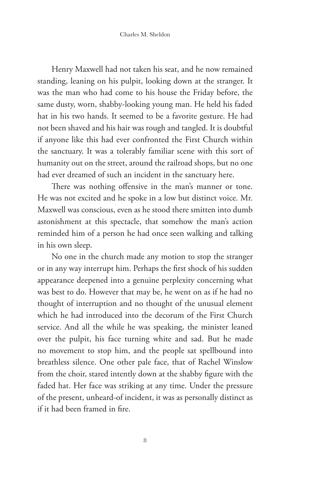Henry Maxwell had not taken his seat, and he now remained standing, leaning on his pulpit, looking down at the stranger. It was the man who had come to his house the Friday before, the same dusty, worn, shabby-looking young man. He held his faded hat in his two hands. It seemed to be a favorite gesture. He had not been shaved and his hair was rough and tangled. It is doubtful if anyone like this had ever confronted the First Church within the sanctuary. It was a tolerably familiar scene with this sort of humanity out on the street, around the railroad shops, but no one had ever dreamed of such an incident in the sanctuary here.

There was nothing offensive in the man's manner or tone. He was not excited and he spoke in a low but distinct voice. Mr. Maxwell was conscious, even as he stood there smitten into dumb astonishment at this spectacle, that somehow the man's action reminded him of a person he had once seen walking and talking in his own sleep.

No one in the church made any motion to stop the stranger or in any way interrupt him. Perhaps the first shock of his sudden appearance deepened into a genuine perplexity concerning what was best to do. However that may be, he went on as if he had no thought of interruption and no thought of the unusual element which he had introduced into the decorum of the First Church service. And all the while he was speaking, the minister leaned over the pulpit, his face turning white and sad. But he made no movement to stop him, and the people sat spellbound into breathless silence. One other pale face, that of Rachel Winslow from the choir, stared intently down at the shabby figure with the faded hat. Her face was striking at any time. Under the pressure of the present, unheard-of incident, it was as personally distinct as if it had been framed in fire.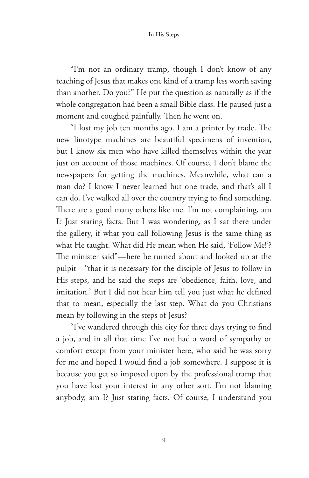"I'm not an ordinary tramp, though I don't know of any teaching of Jesus that makes one kind of a tramp less worth saving than another. Do you?" He put the question as naturally as if the whole congregation had been a small Bible class. He paused just a moment and coughed painfully. Then he went on.

"I lost my job ten months ago. I am a printer by trade. The new linotype machines are beautiful specimens of invention, but I know six men who have killed themselves within the year just on account of those machines. Of course, I don't blame the newspapers for getting the machines. Meanwhile, what can a man do? I know I never learned but one trade, and that's all I can do. I've walked all over the country trying to find something. There are a good many others like me. I'm not complaining, am I? Just stating facts. But I was wondering, as I sat there under the gallery, if what you call following Jesus is the same thing as what He taught. What did He mean when He said, 'Follow Me!'? The minister said"—here he turned about and looked up at the pulpit—"that it is necessary for the disciple of Jesus to follow in His steps, and he said the steps are 'obedience, faith, love, and imitation.' But I did not hear him tell you just what he defined that to mean, especially the last step. What do you Christians mean by following in the steps of Jesus?

"I've wandered through this city for three days trying to find a job, and in all that time I've not had a word of sympathy or comfort except from your minister here, who said he was sorry for me and hoped I would find a job somewhere. I suppose it is because you get so imposed upon by the professional tramp that you have lost your interest in any other sort. I'm not blaming anybody, am I? Just stating facts. Of course, I understand you

9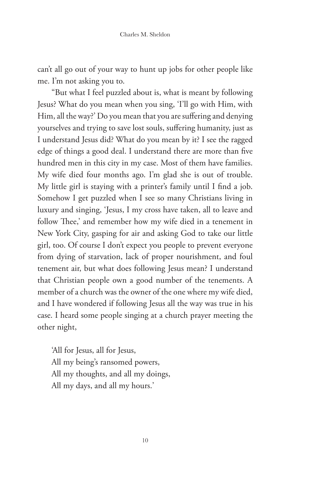can't all go out of your way to hunt up jobs for other people like me. I'm not asking you to.

"But what I feel puzzled about is, what is meant by following Jesus? What do you mean when you sing, 'I'll go with Him, with Him, all the way?' Do you mean that you are suffering and denying yourselves and trying to save lost souls, suffering humanity, just as I understand Jesus did? What do you mean by it? I see the ragged edge of things a good deal. I understand there are more than five hundred men in this city in my case. Most of them have families. My wife died four months ago. I'm glad she is out of trouble. My little girl is staying with a printer's family until I find a job. Somehow I get puzzled when I see so many Christians living in luxury and singing, 'Jesus, I my cross have taken, all to leave and follow Thee,' and remember how my wife died in a tenement in New York City, gasping for air and asking God to take our little girl, too. Of course I don't expect you people to prevent everyone from dying of starvation, lack of proper nourishment, and foul tenement air, but what does following Jesus mean? I understand that Christian people own a good number of the tenements. A member of a church was the owner of the one where my wife died, and I have wondered if following Jesus all the way was true in his case. I heard some people singing at a church prayer meeting the other night,

'All for Jesus, all for Jesus, All my being's ransomed powers, All my thoughts, and all my doings, All my days, and all my hours.'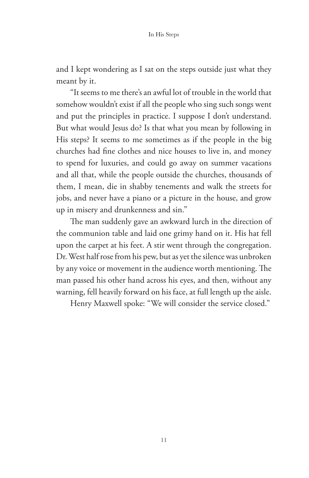and I kept wondering as I sat on the steps outside just what they meant by it.

"It seems to me there's an awful lot of trouble in the world that somehow wouldn't exist if all the people who sing such songs went and put the principles in practice. I suppose I don't understand. But what would Jesus do? Is that what you mean by following in His steps? It seems to me sometimes as if the people in the big churches had fine clothes and nice houses to live in, and money to spend for luxuries, and could go away on summer vacations and all that, while the people outside the churches, thousands of them, I mean, die in shabby tenements and walk the streets for jobs, and never have a piano or a picture in the house, and grow up in misery and drunkenness and sin."

The man suddenly gave an awkward lurch in the direction of the communion table and laid one grimy hand on it. His hat fell upon the carpet at his feet. A stir went through the congregation. Dr. West half rose from his pew, but as yet the silence was unbroken by any voice or movement in the audience worth mentioning. The man passed his other hand across his eyes, and then, without any warning, fell heavily forward on his face, at full length up the aisle.

Henry Maxwell spoke: "We will consider the service closed."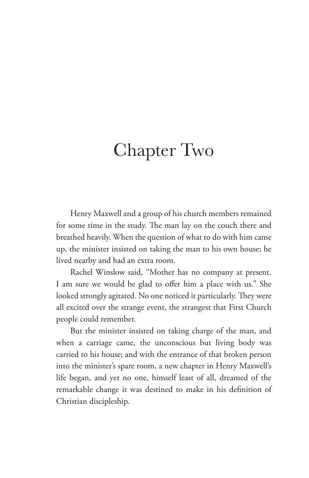## Chapter Two

Henry Maxwell and a group of his church members remained for some time in the study. The man lay on the couch there and breathed heavily. When the question of what to do with him came up, the minister insisted on taking the man to his own house; he lived nearby and had an extra room.

Rachel Winslow said, "Mother has no company at present. I am sure we would be glad to offer him a place with us." She looked strongly agitated. No one noticed it particularly. They were all excited over the strange event, the strangest that First Church people could remember.

But the minister insisted on taking charge of the man, and when a carriage came, the unconscious but living body was carried to his house; and with the entrance of that broken person into the minister's spare room, a new chapter in Henry Maxwell's life began, and yet no one, himself least of all, dreamed of the remarkable change it was destined to make in his definition of Christian discipleship.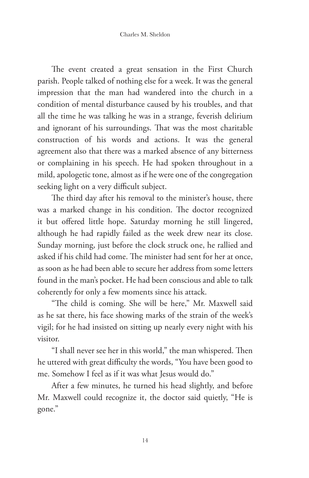The event created a great sensation in the First Church parish. People talked of nothing else for a week. It was the general impression that the man had wandered into the church in a condition of mental disturbance caused by his troubles, and that all the time he was talking he was in a strange, feverish delirium and ignorant of his surroundings. That was the most charitable construction of his words and actions. It was the general agreement also that there was a marked absence of any bitterness or complaining in his speech. He had spoken throughout in a mild, apologetic tone, almost as if he were one of the congregation seeking light on a very difficult subject.

The third day after his removal to the minister's house, there was a marked change in his condition. The doctor recognized it but offered little hope. Saturday morning he still lingered, although he had rapidly failed as the week drew near its close. Sunday morning, just before the clock struck one, he rallied and asked if his child had come. The minister had sent for her at once, as soon as he had been able to secure her address from some letters found in the man's pocket. He had been conscious and able to talk coherently for only a few moments since his attack.

"The child is coming. She will be here," Mr. Maxwell said as he sat there, his face showing marks of the strain of the week's vigil; for he had insisted on sitting up nearly every night with his visitor.

"I shall never see her in this world," the man whispered. Then he uttered with great difficulty the words, "You have been good to me. Somehow I feel as if it was what Jesus would do."

After a few minutes, he turned his head slightly, and before Mr. Maxwell could recognize it, the doctor said quietly, "He is gone."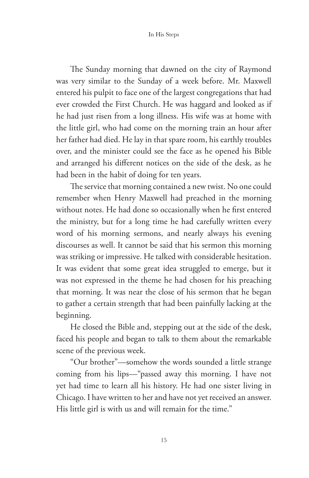In His Steps

The Sunday morning that dawned on the city of Raymond was very similar to the Sunday of a week before. Mr. Maxwell entered his pulpit to face one of the largest congregations that had ever crowded the First Church. He was haggard and looked as if he had just risen from a long illness. His wife was at home with the little girl, who had come on the morning train an hour after her father had died. He lay in that spare room, his earthly troubles over, and the minister could see the face as he opened his Bible and arranged his different notices on the side of the desk, as he had been in the habit of doing for ten years.

The service that morning contained a new twist. No one could remember when Henry Maxwell had preached in the morning without notes. He had done so occasionally when he first entered the ministry, but for a long time he had carefully written every word of his morning sermons, and nearly always his evening discourses as well. It cannot be said that his sermon this morning was striking or impressive. He talked with considerable hesitation. It was evident that some great idea struggled to emerge, but it was not expressed in the theme he had chosen for his preaching that morning. It was near the close of his sermon that he began to gather a certain strength that had been painfully lacking at the beginning.

He closed the Bible and, stepping out at the side of the desk, faced his people and began to talk to them about the remarkable scene of the previous week.

"Our brother"—somehow the words sounded a little strange coming from his lips—"passed away this morning. I have not yet had time to learn all his history. He had one sister living in Chicago. I have written to her and have not yet received an answer. His little girl is with us and will remain for the time."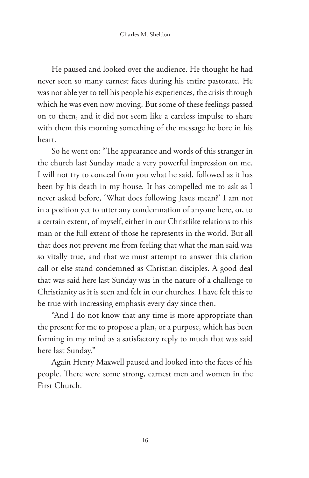He paused and looked over the audience. He thought he had never seen so many earnest faces during his entire pastorate. He was not able yet to tell his people his experiences, the crisis through which he was even now moving. But some of these feelings passed on to them, and it did not seem like a careless impulse to share with them this morning something of the message he bore in his heart.

So he went on: "The appearance and words of this stranger in the church last Sunday made a very powerful impression on me. I will not try to conceal from you what he said, followed as it has been by his death in my house. It has compelled me to ask as I never asked before, 'What does following Jesus mean?' I am not in a position yet to utter any condemnation of anyone here, or, to a certain extent, of myself, either in our Christlike relations to this man or the full extent of those he represents in the world. But all that does not prevent me from feeling that what the man said was so vitally true, and that we must attempt to answer this clarion call or else stand condemned as Christian disciples. A good deal that was said here last Sunday was in the nature of a challenge to Christianity as it is seen and felt in our churches. I have felt this to be true with increasing emphasis every day since then.

"And I do not know that any time is more appropriate than the present for me to propose a plan, or a purpose, which has been forming in my mind as a satisfactory reply to much that was said here last Sunday."

Again Henry Maxwell paused and looked into the faces of his people. There were some strong, earnest men and women in the First Church.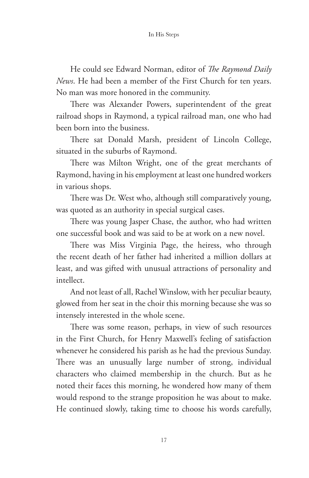He could see Edward Norman, editor of *The Raymond Daily News*. He had been a member of the First Church for ten years. No man was more honored in the community.

There was Alexander Powers, superintendent of the great railroad shops in Raymond, a typical railroad man, one who had been born into the business.

There sat Donald Marsh, president of Lincoln College, situated in the suburbs of Raymond.

There was Milton Wright, one of the great merchants of Raymond, having in his employment at least one hundred workers in various shops.

There was Dr. West who, although still comparatively young, was quoted as an authority in special surgical cases.

There was young Jasper Chase, the author, who had written one successful book and was said to be at work on a new novel.

There was Miss Virginia Page, the heiress, who through the recent death of her father had inherited a million dollars at least, and was gifted with unusual attractions of personality and intellect.

And not least of all, Rachel Winslow, with her peculiar beauty, glowed from her seat in the choir this morning because she was so intensely interested in the whole scene.

There was some reason, perhaps, in view of such resources in the First Church, for Henry Maxwell's feeling of satisfaction whenever he considered his parish as he had the previous Sunday. There was an unusually large number of strong, individual characters who claimed membership in the church. But as he noted their faces this morning, he wondered how many of them would respond to the strange proposition he was about to make. He continued slowly, taking time to choose his words carefully,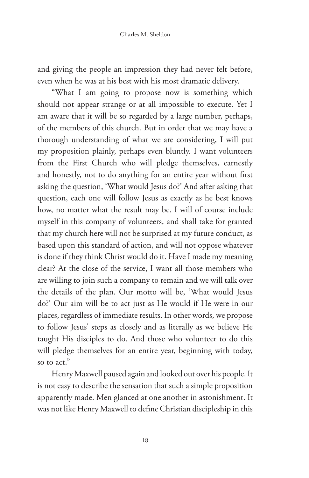and giving the people an impression they had never felt before, even when he was at his best with his most dramatic delivery.

"What I am going to propose now is something which should not appear strange or at all impossible to execute. Yet I am aware that it will be so regarded by a large number, perhaps, of the members of this church. But in order that we may have a thorough understanding of what we are considering, I will put my proposition plainly, perhaps even bluntly. I want volunteers from the First Church who will pledge themselves, earnestly and honestly, not to do anything for an entire year without first asking the question, 'What would Jesus do?' And after asking that question, each one will follow Jesus as exactly as he best knows how, no matter what the result may be. I will of course include myself in this company of volunteers, and shall take for granted that my church here will not be surprised at my future conduct, as based upon this standard of action, and will not oppose whatever is done if they think Christ would do it. Have I made my meaning clear? At the close of the service, I want all those members who are willing to join such a company to remain and we will talk over the details of the plan. Our motto will be, 'What would Jesus do?' Our aim will be to act just as He would if He were in our places, regardless of immediate results. In other words, we propose to follow Jesus' steps as closely and as literally as we believe He taught His disciples to do. And those who volunteer to do this will pledge themselves for an entire year, beginning with today, so to act."

Henry Maxwell paused again and looked out over his people. It is not easy to describe the sensation that such a simple proposition apparently made. Men glanced at one another in astonishment. It was not like Henry Maxwell to define Christian discipleship in this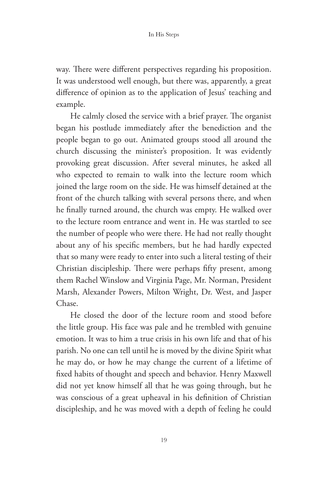way. There were different perspectives regarding his proposition. It was understood well enough, but there was, apparently, a great difference of opinion as to the application of Jesus' teaching and example.

He calmly closed the service with a brief prayer. The organist began his postlude immediately after the benediction and the people began to go out. Animated groups stood all around the church discussing the minister's proposition. It was evidently provoking great discussion. After several minutes, he asked all who expected to remain to walk into the lecture room which joined the large room on the side. He was himself detained at the front of the church talking with several persons there, and when he finally turned around, the church was empty. He walked over to the lecture room entrance and went in. He was startled to see the number of people who were there. He had not really thought about any of his specific members, but he had hardly expected that so many were ready to enter into such a literal testing of their Christian discipleship. There were perhaps fifty present, among them Rachel Winslow and Virginia Page, Mr. Norman, President Marsh, Alexander Powers, Milton Wright, Dr. West, and Jasper Chase.

He closed the door of the lecture room and stood before the little group. His face was pale and he trembled with genuine emotion. It was to him a true crisis in his own life and that of his parish. No one can tell until he is moved by the divine Spirit what he may do, or how he may change the current of a lifetime of fixed habits of thought and speech and behavior. Henry Maxwell did not yet know himself all that he was going through, but he was conscious of a great upheaval in his definition of Christian discipleship, and he was moved with a depth of feeling he could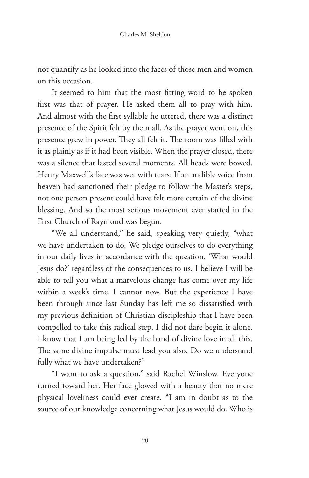not quantify as he looked into the faces of those men and women on this occasion.

It seemed to him that the most fitting word to be spoken first was that of prayer. He asked them all to pray with him. And almost with the first syllable he uttered, there was a distinct presence of the Spirit felt by them all. As the prayer went on, this presence grew in power. They all felt it. The room was filled with it as plainly as if it had been visible. When the prayer closed, there was a silence that lasted several moments. All heads were bowed. Henry Maxwell's face was wet with tears. If an audible voice from heaven had sanctioned their pledge to follow the Master's steps, not one person present could have felt more certain of the divine blessing. And so the most serious movement ever started in the First Church of Raymond was begun.

"We all understand," he said, speaking very quietly, "what we have undertaken to do. We pledge ourselves to do everything in our daily lives in accordance with the question, 'What would Jesus do?' regardless of the consequences to us. I believe I will be able to tell you what a marvelous change has come over my life within a week's time. I cannot now. But the experience I have been through since last Sunday has left me so dissatisfied with my previous definition of Christian discipleship that I have been compelled to take this radical step. I did not dare begin it alone. I know that I am being led by the hand of divine love in all this. The same divine impulse must lead you also. Do we understand fully what we have undertaken?"

"I want to ask a question," said Rachel Winslow. Everyone turned toward her. Her face glowed with a beauty that no mere physical loveliness could ever create. "I am in doubt as to the source of our knowledge concerning what Jesus would do. Who is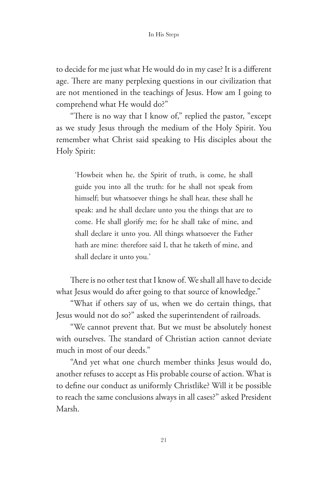to decide for me just what He would do in my case? It is a different age. There are many perplexing questions in our civilization that are not mentioned in the teachings of Jesus. How am I going to comprehend what He would do?"

"There is no way that I know of," replied the pastor, "except as we study Jesus through the medium of the Holy Spirit. You remember what Christ said speaking to His disciples about the Holy Spirit:

'Howbeit when he, the Spirit of truth, is come, he shall guide you into all the truth: for he shall not speak from himself; but whatsoever things he shall hear, these shall he speak: and he shall declare unto you the things that are to come. He shall glorify me; for he shall take of mine, and shall declare it unto you. All things whatsoever the Father hath are mine: therefore said I, that he taketh of mine, and shall declare it unto you.'

There is no other test that I know of. We shall all have to decide what Jesus would do after going to that source of knowledge."

"What if others say of us, when we do certain things, that Jesus would not do so?" asked the superintendent of railroads.

"We cannot prevent that. But we must be absolutely honest with ourselves. The standard of Christian action cannot deviate much in most of our deeds."

"And yet what one church member thinks Jesus would do, another refuses to accept as His probable course of action. What is to define our conduct as uniformly Christlike? Will it be possible to reach the same conclusions always in all cases?" asked President Marsh.